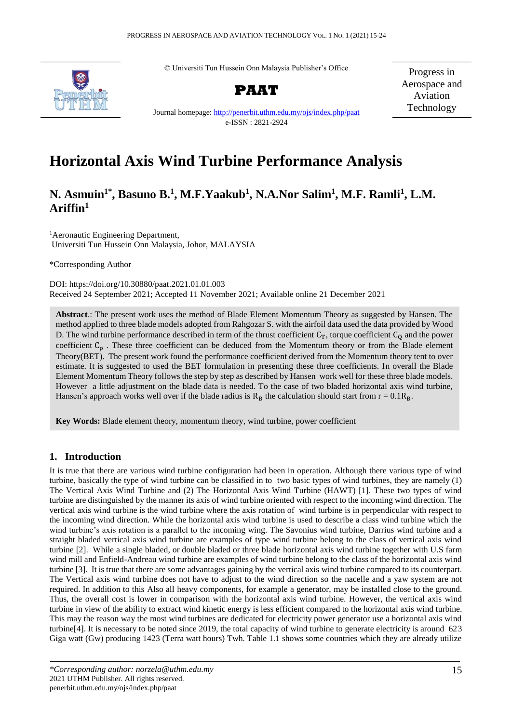© Universiti Tun Hussein Onn Malaysia Publisher's Office



**PAAT**

Progress in Aerospace and Aviation Technology

Journal homepage: [http://penerbit.uthm.edu.my/ojs/index.php/p](http://penerbit.uthm.edu.my/ojs/index.php/)aat e-ISSN : 2821-2924

# **Horizontal Axis Wind Turbine Performance Analysis**

# **N. Asmuin1\* , Basuno B.<sup>1</sup> , M.F.Yaakub<sup>1</sup> , N.A.Nor Salim<sup>1</sup> , M.F. Ramli<sup>1</sup> , L.M. Ariffin<sup>1</sup>**

<sup>1</sup> Aeronautic Engineering Department, Universiti Tun Hussein Onn Malaysia, Johor, MALAYSIA

\*Corresponding Author

DOI: https://doi.org/10.30880/paat.2021.01.01.003 Received 24 September 2021; Accepted 11 November 2021; Available online 21 December 2021

**Abstract**.: The present work uses the method of Blade Element Momentum Theory as suggested by Hansen. The method applied to three blade models adopted from Rahgozar S. with the airfoil data used the data provided by Wood D. The wind turbine performance described in term of the thrust coefficient  $C_T$ , torque coefficient  $C_Q$  and the power coefficient  $C_p$ . These three coefficient can be deduced from the Momentum theory or from the Blade element Theory(BET). The present work found the performance coefficient derived from the Momentum theory tent to over estimate. It is suggested to used the BET formulation in presenting these three coefficients. In overall the Blade Element Momentum Theory follows the step by step as described by Hansen work well for these three blade models. However a little adjustment on the blade data is needed. To the case of two bladed horizontal axis wind turbine, Hansen's approach works well over if the blade radius is  $R_B$  the calculation should start from  $r = 0.1R_B$ .

**Key Words:** Blade element theory, momentum theory, wind turbine, power coefficient

# **1. Introduction**

It is true that there are various wind turbine configuration had been in operation. Although there various type of wind turbine, basically the type of wind turbine can be classified in to two basic types of wind turbines, they are namely (1) The Vertical Axis Wind Turbine and (2) The Horizontal Axis Wind Turbine (HAWT) [1]. These two types of wind turbine are distinguished by the manner its axis of wind turbine oriented with respect to the incoming wind direction. The vertical axis wind turbine is the wind turbine where the axis rotation of wind turbine is in perpendicular with respect to the incoming wind direction. While the horizontal axis wind turbine is used to describe a class wind turbine which the wind turbine's axis rotation is a parallel to the incoming wing. The Savonius wind turbine, Darrius wind turbine and a straight bladed vertical axis wind turbine are examples of type wind turbine belong to the class of vertical axis wind turbine [2]. While a single bladed, or double bladed or three blade horizontal axis wind turbine together with U.S farm wind mill and Enfield-Andreau wind turbine are examples of wind turbine belong to the class of the horizontal axis wind turbine [3]. It is true that there are some advantages gaining by the vertical axis wind turbine compared to its counterpart. The Vertical axis wind turbine does not have to adjust to the wind direction so the nacelle and a yaw system are not required. In addition to this Also all heavy components, for example a generator, may be installed close to the ground. Thus, the overall cost is lower in comparison with the horizontal axis wind turbine. However, the vertical axis wind turbine in view of the ability to extract wind kinetic energy is less efficient compared to the horizontal axis wind turbine. This may the reason way the most wind turbines are dedicated for electricity power generator use a horizontal axis wind turbine[4]. It is necessary to be noted since 2019, the total capacity of wind turbine to generate electricity is around 623 Giga watt (Gw) producing 1423 (Terra watt hours) Twh. Table 1.1 shows some countries which they are already utilize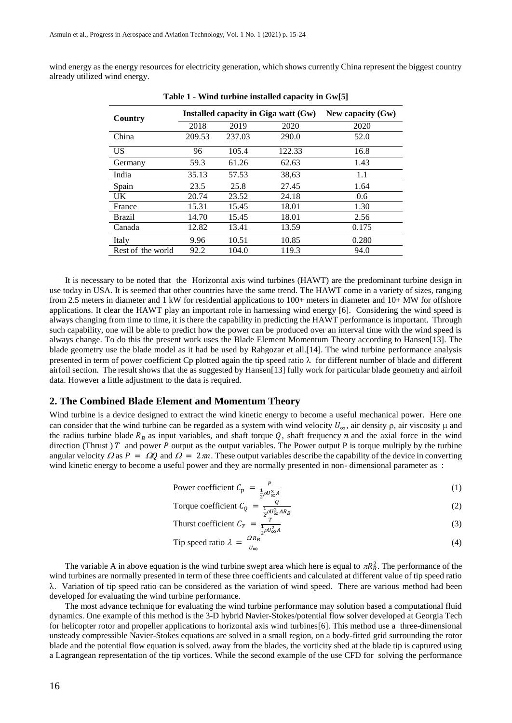wind energy as the energy resources for electricity generation, which shows currently China represent the biggest country already utilized wind energy.

| Country           | Installed capacity in Giga watt (Gw) |        |        | New capacity $(Gw)$ |
|-------------------|--------------------------------------|--------|--------|---------------------|
|                   | 2018                                 | 2019   | 2020   | 2020                |
| China             | 209.53                               | 237.03 | 290.0  | 52.0                |
| US                | 96                                   | 105.4  | 122.33 | 16.8                |
| Germany           | 59.3                                 | 61.26  | 62.63  | 1.43                |
| India             | 35.13                                | 57.53  | 38,63  | 1.1                 |
| Spain             | 23.5                                 | 25.8   | 27.45  | 1.64                |
| UK.               | 20.74                                | 23.52  | 24.18  | 0.6                 |
| France            | 15.31                                | 15.45  | 18.01  | 1.30                |
| Brazil            | 14.70                                | 15.45  | 18.01  | 2.56                |
| Canada            | 12.82                                | 13.41  | 13.59  | 0.175               |
| Italy             | 9.96                                 | 10.51  | 10.85  | 0.280               |
| Rest of the world | 92.2                                 | 104.0  | 119.3  | 94.0                |

**Table 1 - Wind turbine installed capacity in Gw[5]**

It is necessary to be noted that the Horizontal axis wind turbines (HAWT) are the predominant turbine design in use today in USA. It is seemed that other countries have the same trend. The HAWT come in a variety of sizes, ranging from 2.5 meters in diameter and 1 kW for residential applications to 100+ meters in diameter and 10+ MW for offshore applications. It clear the HAWT play an important role in harnessing wind energy [6]. Considering the wind speed is always changing from time to time, it is there the capability in predicting the HAWT performance is important. Through such capability, one will be able to predict how the power can be produced over an interval time with the wind speed is always change. To do this the present work uses the Blade Element Momentum Theory according to Hansen[13]. The blade geometry use the blade model as it had be used by Rahgozar et all.[14]. The wind turbine performance analysis presented in term of power coefficient Cp plotted again the tip speed ratio  $\lambda$  for different number of blade and different airfoil section. The result shows that the as suggested by Hansen[13] fully work for particular blade geometry and airfoil data. However a little adjustment to the data is required.

## **2. The Combined Blade Element and Momentum Theory**

Wind turbine is a device designed to extract the wind kinetic energy to become a useful mechanical power. Here one can consider that the wind turbine can be regarded as a system with wind velocity  $U_{\infty}$ , air density  $\rho$ , air viscosity  $\mu$  and the radius turbine blade  $R_B$  as input variables, and shaft torque Q, shaft frequency n and the axial force in the wind direction (Thrust)  $T$  and power  $P$  output as the output variables. The Power output  $P$  is torque multiply by the turbine angular velocity  $\Omega$  as  $P = \Omega Q$  and  $\Omega = 2\pi n$ . These output variables describe the capability of the device in converting wind kinetic energy to become a useful power and they are normally presented in non- dimensional parameter as :

Power coefficient 
$$
C_p = \frac{P}{\frac{1}{2}\rho U_{\infty}^3 A}
$$
 (1)

Torque coefficient  $C_Q = \frac{Q}{\frac{1}{2}\rho U_{\infty}^2 AR_B}$ (2)

Thurst coefficient  $C_T = \frac{T}{\frac{1}{2}\rho U_{\infty}^2 A}$ (3)

$$
\text{Tip speed ratio } \lambda = \frac{\Omega R_B}{U_{\infty}} \tag{4}
$$

The variable A in above equation is the wind turbine swept area which here is equal to  $\pi R_B^2$ . The performance of the wind turbines are normally presented in term of these three coefficients and calculated at different value of tip speed ratio  $\lambda$ . Variation of tip speed ratio can be considered as the variation of wind speed. There are various method had been developed for evaluating the wind turbine performance.

The most advance technique for evaluating the wind turbine performance may solution based a computational fluid dynamics. One example of this method is the 3-D hybrid Navier-Stokes/potential flow solver developed at Georgia Tech for helicopter rotor and propeller applications to horizontal axis wind turbines[6]. This method use a three-dimensional unsteady compressible Navier-Stokes equations are solved in a small region, on a body-fitted grid surrounding the rotor blade and the potential flow equation is solved. away from the blades, the vorticity shed at the blade tip is captured using a Lagrangean representation of the tip vortices. While the second example of the use CFD for solving the performance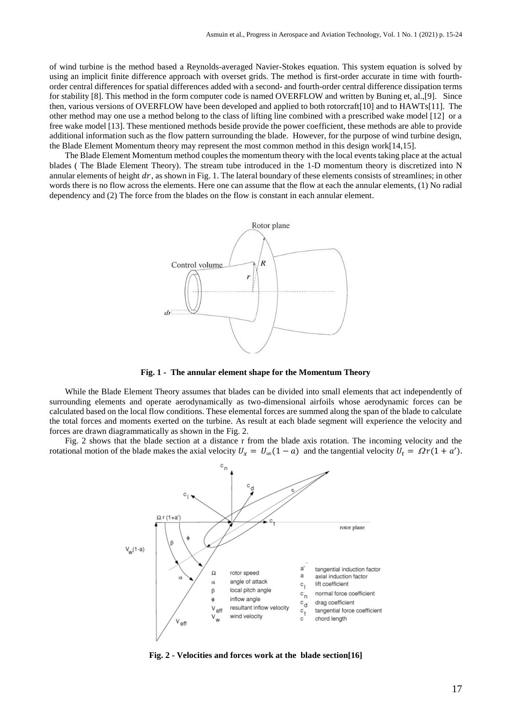of wind turbine is the method based a Reynolds-averaged Navier-Stokes equation. This system equation is solved by using an implicit finite difference approach with overset grids. The method is first-order accurate in time with fourthorder central differences for spatial differences added with a second- and fourth-order central difference dissipation terms for stability [8]. This method in the form computer code is named OVERFLOW and written by Buning et, al.,[9]. Since then, various versions of OVERFLOW have been developed and applied to both rotorcraft[10] and to HAWTs[11]. The other method may one use a method belong to the class of lifting line combined with a prescribed wake model [12] or a free wake model [13]. These mentioned methods beside provide the power coefficient, these methods are able to provide additional information such as the flow pattern surrounding the blade. However, for the purpose of wind turbine design, the Blade Element Momentum theory may represent the most common method in this design work[14,15].

The Blade Element Momentum method couples the momentum theory with the local events taking place at the actual blades ( The Blade Element Theory). The stream tube introduced in the 1-D momentum theory is discretized into N annular elements of height  $dr$ , as shown in Fig. 1. The lateral boundary of these elements consists of streamlines; in other words there is no flow across the elements. Here one can assume that the flow at each the annular elements, (1) No radial dependency and (2) The force from the blades on the flow is constant in each annular element.



**Fig. 1 - The annular element shape for the Momentum Theory**

While the Blade Element Theory assumes that blades can be divided into small elements that act independently of surrounding elements and operate aerodynamically as two-dimensional airfoils whose aerodynamic forces can be calculated based on the local flow conditions. These elemental forces are summed along the span of the blade to calculate the total forces and moments exerted on the turbine. As result at each blade segment will experience the velocity and forces are drawn diagrammatically as shown in the Fig. 2.

Fig. 2 shows that the blade section at a distance r from the blade axis rotation. The incoming velocity and the rotational motion of the blade makes the axial velocity  $U_x = U_\infty(1 - a)$  and the tangential velocity  $U_t = \Omega r (1 + a')$ .



**Fig. 2 - Velocities and forces work at the blade section[16]**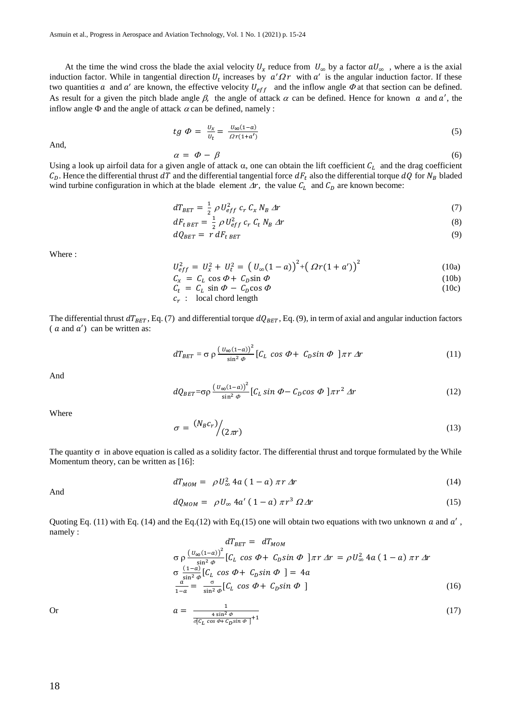At the time the wind cross the blade the axial velocity  $U_x$  reduce from  $U_\infty$  by a factor  $aU_\infty$ , where a is the axial induction factor. While in tangential direction  $U_t$  increases by  $a'\Omega r$  with  $a'$  is the angular induction factor. If these two quantities a and a' are known, the effective velocity  $U_{eff}$  and the inflow angle  $\Phi$  at that section can be defined. As result for a given the pitch blade angle  $\beta$ , the angle of attack  $\alpha$  can be defined. Hence for known  $\alpha$  and  $\alpha'$ , the inflow angle  $\Phi$  and the angle of attack  $\alpha$  can be defined, namely :

$$
tg\ \Phi = \frac{U_x}{U_t} = \frac{U_{\infty}(1-a)}{\Omega r(1+a')}\tag{5}
$$

And,

$$
\alpha = \varPhi - \beta \tag{6}
$$

Using a look up airfoil data for a given angle of attack  $\alpha$ , one can obtain the lift coefficient  $C_L$  and the drag coefficient  $C_D$ . Hence the differential thrust dT and the differential tangential force  $dF_t$  also the differential torque  $dQ$  for  $N_B$  bladed wind turbine configuration in which at the blade element  $\Delta r$ , the value  $C_L$  and  $C_D$  are known become:

$$
dT_{BET} = \frac{1}{2} \rho U_{eff}^2 c_r C_x N_B \Delta r \tag{7}
$$

$$
dF_{t\,BET} = \frac{1}{2} \rho \, U_{eff}^2 \, c_r \, C_t \, N_B \, \Delta r \tag{8}
$$

$$
dQ_{BET} = r dF_{tBET} \tag{9}
$$

Where :

$$
U_{eff}^{2} = U_{x}^{2} + U_{t}^{2} = (U_{\infty}(1-a))^{2} + (\Omega r(1+a'))^{2}
$$
 (10a)

$$
C_x = C_L \cos \Phi + C_D \sin \Phi \tag{10b}
$$

$$
C_t = C_L \sin \Phi - C_D \cos \Phi \tag{10c}
$$

$$
c_r : \quad \text{local chord length}
$$

The differential thrust  $dT_{BET}$ , Eq. (7) and differential torque  $dQ_{BET}$ , Eq. (9), in term of axial and angular induction factors  $(a \text{ and } a')$  can be written as:

$$
dT_{BET} = \sigma \rho \frac{\left(v_{\infty}(1-a)\right)^2}{\sin^2 \phi} \left[ C_L \cos \Phi + C_D \sin \Phi \right] \pi r \Delta r \tag{11}
$$

And

$$
dQ_{BET} = \sigma \rho \frac{\left(U_{\infty}(1-a)\right)^2}{\sin^2 \phi} \left[C_L \sin \Phi - C_D \cos \Phi \right] \pi r^2 \Delta r \tag{12}
$$

Where

$$
\sigma = \frac{(N_B c_r)}{(2\pi r)} \tag{13}
$$

The quantity  $\sigma$  in above equation is called as a solidity factor. The differential thrust and torque formulated by the While Momentum theory, can be written as [16]:

$$
dT_{MOM} = \rho U_{\infty}^2 4a (1 - a) \pi r \Delta r \tag{14}
$$

And

$$
dQ_{MOM} = \rho U_{\infty} 4a' (1-a) \pi r^3 \Omega \Delta r \qquad (15)
$$

Quoting Eq. (11) with Eq. (14) and the Eq. (12) with Eq. (15) one will obtain two equations with two unknown  $a$  and  $a'$ , namely :

$$
dT_{BET} = dT_{MOM}
$$
  
\n
$$
\sigma \rho \frac{\left(U_{\infty}(1-a)\right)^2}{\sin^2 \phi} \left[C_L \cos \Phi + C_D \sin \Phi \right] \pi r \Delta r = \rho U_{\infty}^2 4a (1-a) \pi r \Delta r
$$
  
\n
$$
\sigma \frac{(1-a)}{\sin^2 \phi} \left[C_L \cos \Phi + C_D \sin \Phi \right] = 4a
$$
  
\n
$$
\frac{a}{1-a} = \frac{\sigma}{\sin^2 \phi} \left[C_L \cos \Phi + C_D \sin \Phi \right]
$$
 (16)

Or 
$$
a = \frac{1}{\frac{4 \sin^2 \phi}{\sigma [C_L \cos \phi + C_D \sin \phi]} + 1}
$$
 (17)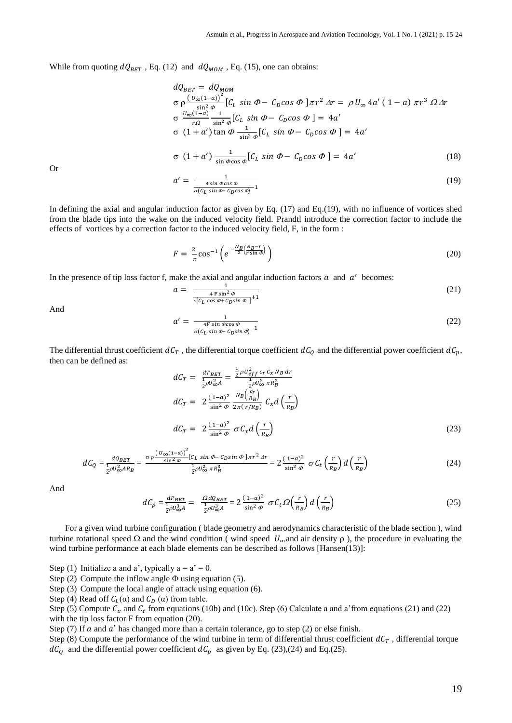While from quoting  $dQ_{BET}$ , Eq. (12) and  $dQ_{MOM}$ , Eq. (15), one can obtains:

$$
dQ_{BET} = dQ_{MOM}
$$
  
\n
$$
\sigma \rho \frac{\left(\frac{U_{\infty}(1-a)}{\sin^2 \theta}\right]}{\left[\frac{U_{\infty}(1-a)}{r\Omega}\right]} \left[C_L \sin \Phi - C_D \cos \Phi\right] \pi r^2 \Delta r = \rho U_{\infty} 4a' (1-a) \pi r^3 \Omega \Delta r
$$
  
\n
$$
\sigma \frac{U_{\infty}(1-a)}{r\Omega} \frac{1}{\sin^2 \phi} \left[C_L \sin \Phi - C_D \cos \Phi\right] = 4a'
$$
  
\n
$$
\sigma (1+a') \tan \Phi \frac{1}{\sin^2 \phi} \left[C_L \sin \Phi - C_D \cos \Phi\right] = 4a'
$$
  
\n
$$
\sigma (1+a') \frac{1}{\sin \phi \cos \phi} \left[C_L \sin \Phi - C_D \cos \Phi\right] = 4a'
$$
 (18)

Or

$$
a' = \frac{1}{\frac{4\sin\phi\cos\phi}{\sigma(c_L\sin\phi - c_D\cos\phi)^{-1}}}
$$
(19)

In defining the axial and angular induction factor as given by Eq. (17) and Eq.(19), with no influence of vortices shed from the blade tips into the wake on the induced velocity field. Prandtl introduce the correction factor to include the effects of vortices by a correction factor to the induced velocity field, F, in the form :

$$
F = \frac{2}{\pi} \cos^{-1} \left( e^{-\frac{N_B}{2} \left( \frac{R_B - r}{r \sin \phi} \right)} \right)
$$
 (20)

In the presence of tip loss factor f, make the axial and angular induction factors  $a$  and  $a'$  becomes:

$$
a = \frac{1}{\frac{4 F \sin^2 \phi}{\sigma [C_L \cos \phi + C_D \sin \phi]} + 1}
$$
(21)

And

$$
a' = \frac{1}{\frac{4F \sin \phi \cos \phi}{\sigma (C_L \sin \phi - C_D \sin \phi)} - 1}
$$
(22)

The differential thrust coefficient  $dC_T$ , the differential torque coefficient  $dC_Q$  and the differential power coefficient  $dC_p$ , then can be defined as:

$$
dC_T = \frac{dT_{BET}}{\frac{1}{2}\rho U_{\infty}^2 A} = \frac{\frac{1}{2}\rho U_{eff}^2 c_T c_x N_B dr}{\frac{1}{2}\rho U_{\infty}^2 \pi R_B^2}
$$
  
\n
$$
dC_T = 2 \frac{(1-a)^2}{\sin^2 \phi} \frac{N_B \left(\frac{c_T}{R_B}\right)}{2\pi (r/R_B)} C_x d\left(\frac{r}{R_B}\right)
$$
  
\n
$$
dC_T = 2 \frac{(1-a)^2}{\sin^2 \phi} \sigma C_x d\left(\frac{r}{R_B}\right)
$$
\n(23)

$$
dC_Q = \frac{dQ_{BET}}{\frac{1}{2}\rho U_{\infty}^2 AR_B} = \frac{\sigma \rho \frac{\left(U_{\infty}(1-a)\right)^2}{\sin^2 \phi} \left[c_L \sin \phi - c_D \sin \phi\right] \pi r^2 \Delta r}{\frac{1}{2}\rho U_{\infty}^2 \pi R_B^3} = 2 \frac{(1-a)^2}{\sin^2 \phi} \sigma C_t \left(\frac{r}{R_B}\right) d\left(\frac{r}{R_B}\right) \tag{24}
$$

And

$$
dC_p = \frac{dP_{BET}}{\frac{1}{2}\rho U_{\infty}^3 A} = \frac{\Omega dQ_{BET}}{\frac{1}{2}\rho U_{\infty}^3 A} = 2 \frac{(1-a)^2}{\sin^2 \phi} \sigma C_t \Omega \left(\frac{r}{R_B}\right) d \left(\frac{r}{R_B}\right) \tag{25}
$$

For a given wind turbine configuration ( blade geometry and aerodynamics characteristic of the blade section ), wind turbine rotational speed  $\Omega$  and the wind condition (wind speed  $U_{\infty}$  and air density  $\rho$ ), the procedure in evaluating the wind turbine performance at each blade elements can be described as follows [Hansen(13)]:

Step (1) Initialize a and a', typically  $a = a' = 0$ .

Step (2) Compute the inflow angle  $\Phi$  using equation (5).

Step (3) Compute the local angle of attack using equation (6).

Step (4) Read off  $C_L(\alpha)$  and  $C_D(\alpha)$  from table.

Step (5) Compute  $C_x$  and  $C_t$  from equations (10b) and (10c). Step (6) Calculate a and a'from equations (21) and (22) with the tip loss factor F from equation (20).

Step (7) If  $a$  and  $a'$  has changed more than a certain tolerance, go to step (2) or else finish.

Step (8) Compute the performance of the wind turbine in term of differential thrust coefficient  $dC_T$ , differential torque  $dC_Q$  and the differential power coefficient  $dC_p$  as given by Eq. (23),(24) and Eq.(25).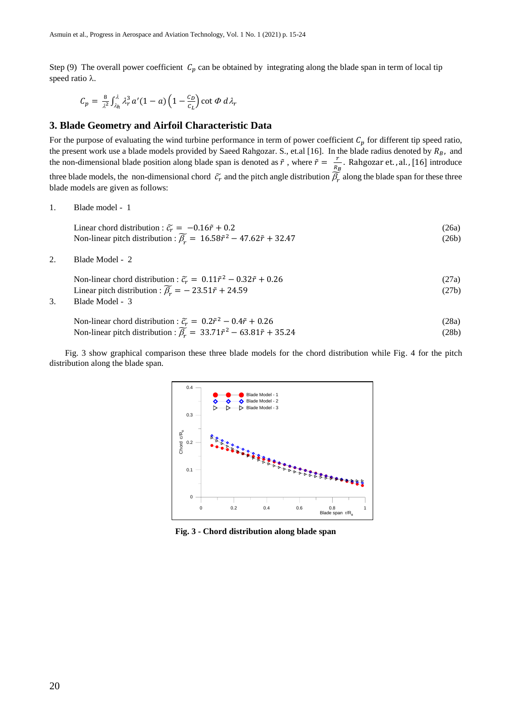Step (9) The overall power coefficient  $C_p$  can be obtained by integrating along the blade span in term of local tip speed ratio  $\lambda$ .

$$
C_p = \frac{8}{\lambda^2} \int_{\lambda_h}^{\lambda} \lambda_r^3 a'(1-a) \left(1 - \frac{c_D}{c_L}\right) \cot \Phi \ d\lambda_r
$$

# **3. Blade Geometry and Airfoil Characteristic Data**

For the purpose of evaluating the wind turbine performance in term of power coefficient  $C_p$  for different tip speed ratio, the present work use a blade models provided by Saeed Rahgozar. S., et.al [16]. In the blade radius denoted by  $R_B$ , and the non-dimensional blade position along blade span is denoted as  $\tilde{r}$ , where  $\tilde{r} = \frac{r}{r}$  $\frac{7}{R_B}$ . Rahgozar et., al., [16] introduce three blade models, the non-dimensional chord  $\tilde{c}_r$  and the pitch angle distribution  $\tilde{\beta}_r$  along the blade span for these three blade models are given as follows:

1. Blade model - 1

Linear chord distribution :  $\tilde{c}_r = -0.16\tilde{r} + 0.2$  (26a) Non-linear pitch distribution :  $\widetilde{\beta_r} = 16.58\widetilde{r}^2 - 47.62\widetilde{r} + 32.47$  (26b)

2. Blade Model - 2

Non-linear chord distribution :  $\tilde{c}_r = 0.11\tilde{r}^2 - 0.32\tilde{r} + 0.26$  (27a) Linear pitch distribution :  $\widetilde{\beta_r} = -23.51\widetilde{r} + 24.59$  (27b)

3. Blade Model - 3

Non-linear chord distribution : 
$$
\tilde{c}_r = 0.2\tilde{r}^2 - 0.4\tilde{r} + 0.26
$$
 (28a)

Non-linear pitch distribution :  $\widetilde{\beta_r} = 33.71\widetilde{r}^2 - 63.81\widetilde{r} + 35.24$  (28b)

Fig. 3 show graphical comparison these three blade models for the chord distribution while Fig. 4 for the pitch distribution along the blade span.



**Fig. 3 - Chord distribution along blade span**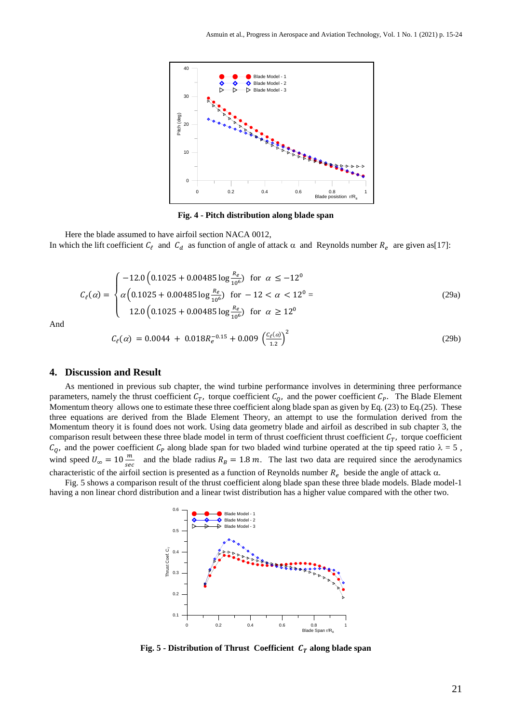

**Fig. 4 - Pitch distribution along blade span**

Here the blade assumed to have airfoil section NACA 0012, In which the lift coefficient  $C_{\ell}$  and  $C_d$  as function of angle of attack  $\alpha$  and Reynolds number  $R_e$  are given as [17]:

$$
C_{\ell}(\alpha) = \begin{cases}\n-12.0 \left(0.1025 + 0.00485 \log \frac{R_e}{10^6}\right) & \text{for } \alpha \le -12^0 \\
\alpha \left(0.1025 + 0.00485 \log \frac{R_e}{10^6}\right) & \text{for } -12 < \alpha < 12^0 = \\
12.0 \left(0.1025 + 0.00485 \log \frac{R_e}{10^6}\right) & \text{for } \alpha \ge 12^0\n\end{cases}
$$
\n(29a)

And

$$
C_{\ell}(\alpha) = 0.0044 + 0.018R_{e}^{-0.15} + 0.009 \left(\frac{c_{\ell}(\alpha)}{1.2}\right)^{2}
$$
\n(29b)

#### **4. Discussion and Result**

As mentioned in previous sub chapter, the wind turbine performance involves in determining three performance parameters, namely the thrust coefficient  $C_T$ , torque coefficient  $C_Q$ , and the power coefficient  $C_P$ . The Blade Element Momentum theory allows one to estimate these three coefficient along blade span as given by Eq. (23) to Eq.(25). These three equations are derived from the Blade Element Theory, an attempt to use the formulation derived from the Momentum theory it is found does not work. Using data geometry blade and airfoil as described in sub chapter 3, the comparison result between these three blade model in term of thrust coefficient thrust coefficient  $C_T$ , torque coefficient  $C_Q$ , and the power coefficient  $C_P$  along blade span for two bladed wind turbine operated at the tip speed ratio  $\lambda = 5$ , wind speed  $U_{\infty} = 10 \frac{m}{sec}$  and the blade radius  $R_B = 1.8$  m. The last two data are required since the aerodynamics characteristic of the airfoil section is presented as a function of Reynolds number  $R_e$  beside the angle of attack  $\alpha$ .

Fig. 5 shows a comparison result of the thrust coefficient along blade span these three blade models. Blade model-1 having a non linear chord distribution and a linear twist distribution has a higher value compared with the other two.



**Fig. 5 -** Distribution of Thrust Coefficient  $C_T$  along blade span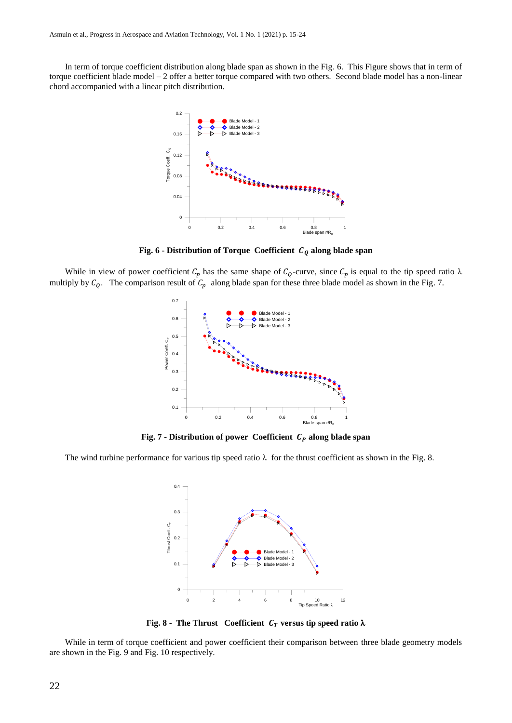In term of torque coefficient distribution along blade span as shown in the Fig. 6. This Figure shows that in term of torque coefficient blade model – 2 offer a better torque compared with two others. Second blade model has a non-linear chord accompanied with a linear pitch distribution.



**Fig.** 6 **-** Distribution of Torque Coefficient  $C_0$  along blade span

While in view of power coefficient  $C_p$  has the same shape of  $C_q$ -curve, since  $C_p$  is equal to the tip speed ratio  $\lambda$ multiply by  $C_Q$ . The comparison result of  $C_p$  along blade span for these three blade model as shown in the Fig. 7.



**Fig.** 7 **-** Distribution of power Coefficient  $C_p$  along blade span

The wind turbine performance for various tip speed ratio  $\lambda$  for the thrust coefficient as shown in the Fig. 8.



**Fig.** 8 - The Thrust Coefficient  $C_T$  versus tip speed ratio  $\lambda$ 

While in term of torque coefficient and power coefficient their comparison between three blade geometry models are shown in the Fig. 9 and Fig. 10 respectively.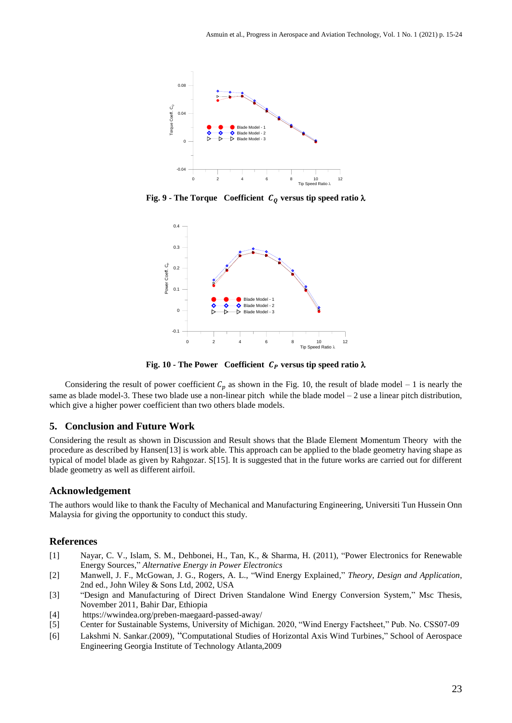

**Fig.** 9 **-** The Torque Coefficient  $C_Q$  versus tip speed ratio  $\lambda$ 



**Fig.** 10 **-** The Power Coefficient  $C_p$  versus tip speed ratio  $\lambda$ 

Considering the result of power coefficient  $C_p$  as shown in the Fig. 10, the result of blade model – 1 is nearly the same as blade model-3. These two blade use a non-linear pitch while the blade model  $-2$  use a linear pitch distribution, which give a higher power coefficient than two others blade models.

#### **5. Conclusion and Future Work**

Considering the result as shown in Discussion and Result shows that the Blade Element Momentum Theory with the procedure as described by Hansen[13] is work able. This approach can be applied to the blade geometry having shape as typical of model blade as given by Rahgozar. S[15]. It is suggested that in the future works are carried out for different blade geometry as well as different airfoil.

#### **Acknowledgement**

The authors would like to thank the Faculty of Mechanical and Manufacturing Engineering, Universiti Tun Hussein Onn Malaysia for giving the opportunity to conduct this study.

### **References**

- [1] Nayar, C. V., Islam, S. M., Dehbonei, H., Tan, K., & Sharma, H. (2011), "Power Electronics for Renewable Energy Sources," *Alternative Energy in Power Electronics*
- [2] Manwell, J. F., McGowan, J. G., Rogers, A. L., "Wind Energy Explained," *Theory, Design and Application*, 2nd ed., John Wiley & Sons Ltd, 2002, USA
- [3] "Design and Manufacturing of Direct Driven Standalone Wind Energy Conversion System," Msc Thesis, November 2011, Bahir Dar, Ethiopia
- [4] <https://wwindea.org/preben-maegaard-passed-away/>
- [5] Center for Sustainable Systems, University of Michigan. 2020, "Wind Energy Factsheet," Pub. No. CSS07-09
- [6] Lakshmi N. Sankar.(2009), "Computational Studies of Horizontal Axis Wind Turbines," School of Aerospace Engineering Georgia Institute of Technology Atlanta,2009